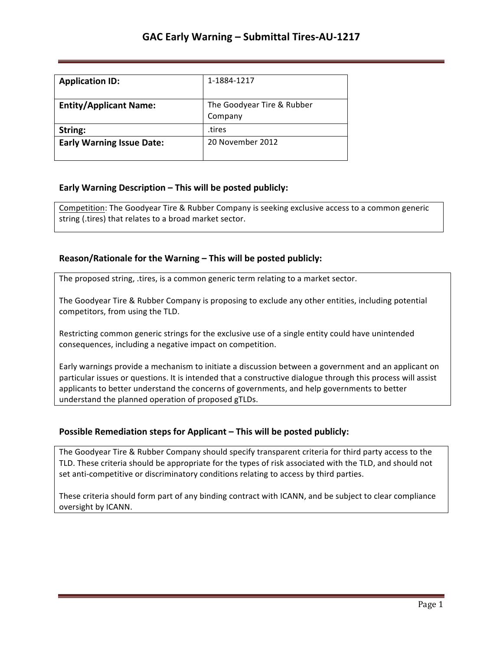| <b>Application ID:</b>           | 1-1884-1217                           |
|----------------------------------|---------------------------------------|
| <b>Entity/Applicant Name:</b>    | The Goodyear Tire & Rubber<br>Company |
| String:                          | tires.                                |
| <b>Early Warning Issue Date:</b> | 20 November 2012                      |

## **Early Warning Description – This will be posted publicly:**

Competition: The Goodyear Tire & Rubber Company is seeking exclusive access to a common generic string (.tires) that relates to a broad market sector.

## **Reason/Rationale for the Warning – This will be posted publicly:**

The proposed string, .tires, is a common generic term relating to a market sector.

The Goodyear Tire & Rubber Company is proposing to exclude any other entities, including potential competitors, from using the TLD.

Restricting common generic strings for the exclusive use of a single entity could have unintended consequences, including a negative impact on competition.

Early warnings provide a mechanism to initiate a discussion between a government and an applicant on particular issues or questions. It is intended that a constructive dialogue through this process will assist applicants to better understand the concerns of governments, and help governments to better understand the planned operation of proposed gTLDs.

### **Possible Remediation steps for Applicant – This will be posted publicly:**

The Goodyear Tire & Rubber Company should specify transparent criteria for third party access to the TLD. These criteria should be appropriate for the types of risk associated with the TLD, and should not set anti-competitive or discriminatory conditions relating to access by third parties.

These criteria should form part of any binding contract with ICANN, and be subject to clear compliance oversight by ICANN.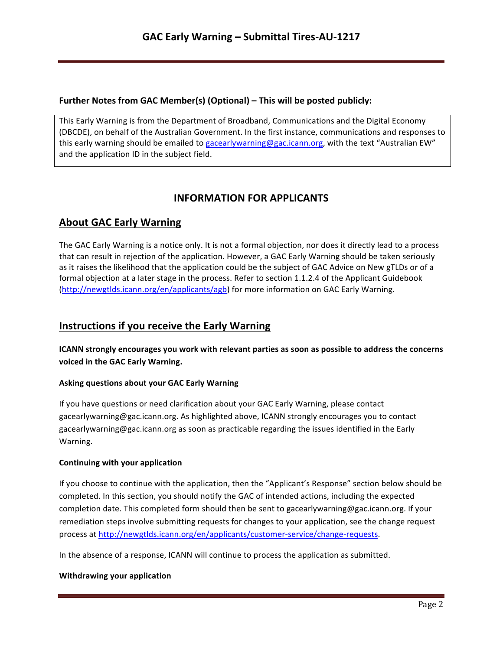### **Further Notes from GAC Member(s) (Optional) – This will be posted publicly:**

This Early Warning is from the Department of Broadband, Communications and the Digital Economy (DBCDE), on behalf of the Australian Government. In the first instance, communications and responses to this early warning should be emailed to gacearlywarning@gac.icann.org, with the text "Australian EW" and the application ID in the subject field.

# **INFORMATION FOR APPLICANTS**

## **About GAC Early Warning**

The GAC Early Warning is a notice only. It is not a formal objection, nor does it directly lead to a process that can result in rejection of the application. However, a GAC Early Warning should be taken seriously as it raises the likelihood that the application could be the subject of GAC Advice on New gTLDs or of a formal objection at a later stage in the process. Refer to section 1.1.2.4 of the Applicant Guidebook (http://newgtlds.icann.org/en/applicants/agb) for more information on GAC Early Warning.

## **Instructions if you receive the Early Warning**

**ICANN** strongly encourages you work with relevant parties as soon as possible to address the concerns voiced in the GAC Early Warning.

### **Asking questions about your GAC Early Warning**

If you have questions or need clarification about your GAC Early Warning, please contact gacearlywarning@gac.icann.org. As highlighted above, ICANN strongly encourages you to contact gacearlywarning@gac.icann.org as soon as practicable regarding the issues identified in the Early Warning. 

### **Continuing with your application**

If you choose to continue with the application, then the "Applicant's Response" section below should be completed. In this section, you should notify the GAC of intended actions, including the expected completion date. This completed form should then be sent to gacearlywarning@gac.icann.org. If your remediation steps involve submitting requests for changes to your application, see the change request process at http://newgtlds.icann.org/en/applicants/customer-service/change-requests.

In the absence of a response, ICANN will continue to process the application as submitted.

### **Withdrawing your application**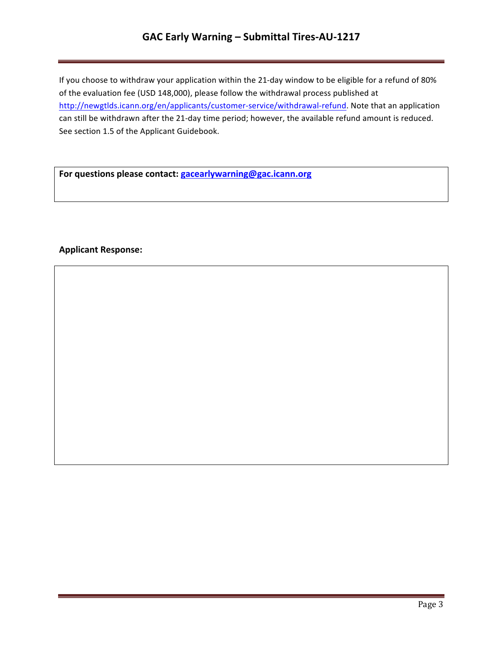# **GAC Early Warning – Submittal Tires-AU-1217**

If you choose to withdraw your application within the 21-day window to be eligible for a refund of 80% of the evaluation fee (USD 148,000), please follow the withdrawal process published at http://newgtlds.icann.org/en/applicants/customer-service/withdrawal-refund. Note that an application can still be withdrawn after the 21-day time period; however, the available refund amount is reduced. See section 1.5 of the Applicant Guidebook.

For questions please contact: **gacearlywarning@gac.icann.org** 

### **Applicant Response:**